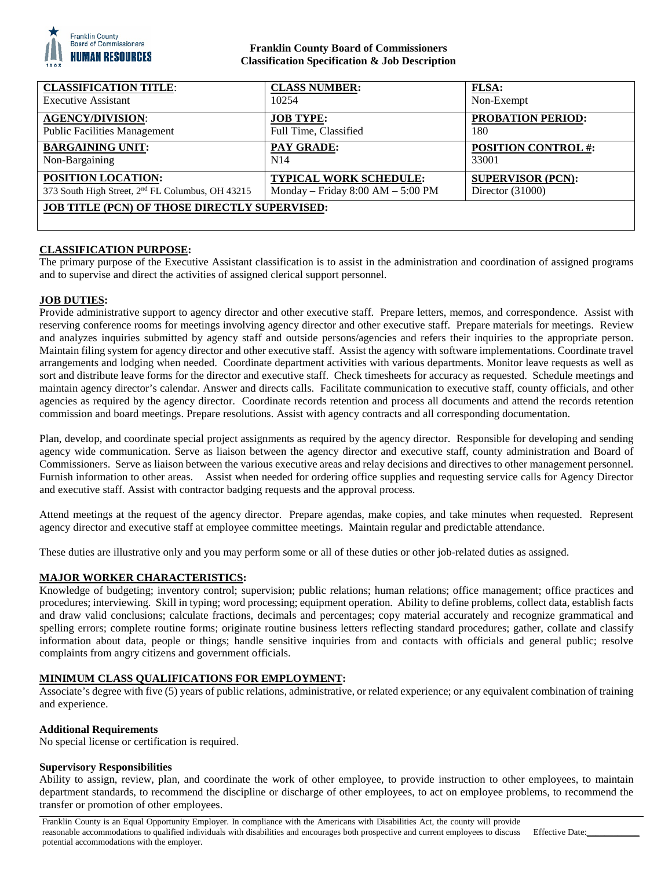

## **Franklin County Board of Commissioners Classification Specification & Job Description**

| <b>CLASSIFICATION TITLE:</b>                                 | <b>CLASS NUMBER:</b>                | <b>FLSA:</b>               |
|--------------------------------------------------------------|-------------------------------------|----------------------------|
| <b>Executive Assistant</b>                                   | 10254                               | Non-Exempt                 |
| <b>AGENCY/DIVISION:</b>                                      | <b>JOB TYPE:</b>                    | <b>PROBATION PERIOD:</b>   |
| <b>Public Facilities Management</b>                          | Full Time, Classified               | 180                        |
| <b>BARGAINING UNIT:</b>                                      | PAY GRADE:                          | <b>POSITION CONTROL #:</b> |
| Non-Bargaining                                               | N14                                 | 33001                      |
| <b>POSITION LOCATION:</b>                                    | <b>TYPICAL WORK SCHEDULE:</b>       | <b>SUPERVISOR (PCN):</b>   |
| 373 South High Street, 2 <sup>nd</sup> FL Columbus, OH 43215 | Monday – Friday $8:00 AM - 5:00 PM$ | Director $(31000)$         |
| <b>JOB TITLE (PCN) OF THOSE DIRECTLY SUPERVISED:</b>         |                                     |                            |

# **CLASSIFICATION PURPOSE:**

The primary purpose of the Executive Assistant classification is to assist in the administration and coordination of assigned programs and to supervise and direct the activities of assigned clerical support personnel.

#### **JOB DUTIES:**

Provide administrative support to agency director and other executive staff. Prepare letters, memos, and correspondence. Assist with reserving conference rooms for meetings involving agency director and other executive staff. Prepare materials for meetings. Review and analyzes inquiries submitted by agency staff and outside persons/agencies and refers their inquiries to the appropriate person. Maintain filing system for agency director and other executive staff. Assist the agency with software implementations. Coordinate travel arrangements and lodging when needed. Coordinate department activities with various departments. Monitor leave requests as well as sort and distribute leave forms for the director and executive staff. Check timesheets for accuracy as requested. Schedule meetings and maintain agency director's calendar. Answer and directs calls. Facilitate communication to executive staff, county officials, and other agencies as required by the agency director. Coordinate records retention and process all documents and attend the records retention commission and board meetings. Prepare resolutions. Assist with agency contracts and all corresponding documentation.

Plan, develop, and coordinate special project assignments as required by the agency director. Responsible for developing and sending agency wide communication. Serve as liaison between the agency director and executive staff, county administration and Board of Commissioners. Serve as liaison between the various executive areas and relay decisions and directives to other management personnel. Furnish information to other areas. Assist when needed for ordering office supplies and requesting service calls for Agency Director and executive staff. Assist with contractor badging requests and the approval process.

Attend meetings at the request of the agency director. Prepare agendas, make copies, and take minutes when requested. Represent agency director and executive staff at employee committee meetings. Maintain regular and predictable attendance.

These duties are illustrative only and you may perform some or all of these duties or other job-related duties as assigned.

### **MAJOR WORKER CHARACTERISTICS:**

Knowledge of budgeting; inventory control; supervision; public relations; human relations; office management; office practices and procedures; interviewing. Skill in typing; word processing; equipment operation. Ability to define problems, collect data, establish facts and draw valid conclusions; calculate fractions, decimals and percentages; copy material accurately and recognize grammatical and spelling errors; complete routine forms; originate routine business letters reflecting standard procedures; gather, collate and classify information about data, people or things; handle sensitive inquiries from and contacts with officials and general public; resolve complaints from angry citizens and government officials.

### **MINIMUM CLASS QUALIFICATIONS FOR EMPLOYMENT:**

Associate's degree with five (5) years of public relations, administrative, or related experience; or any equivalent combination of training and experience.

#### **Additional Requirements**

No special license or certification is required.

#### **Supervisory Responsibilities**

Ability to assign, review, plan, and coordinate the work of other employee, to provide instruction to other employees, to maintain department standards, to recommend the discipline or discharge of other employees, to act on employee problems, to recommend the transfer or promotion of other employees.